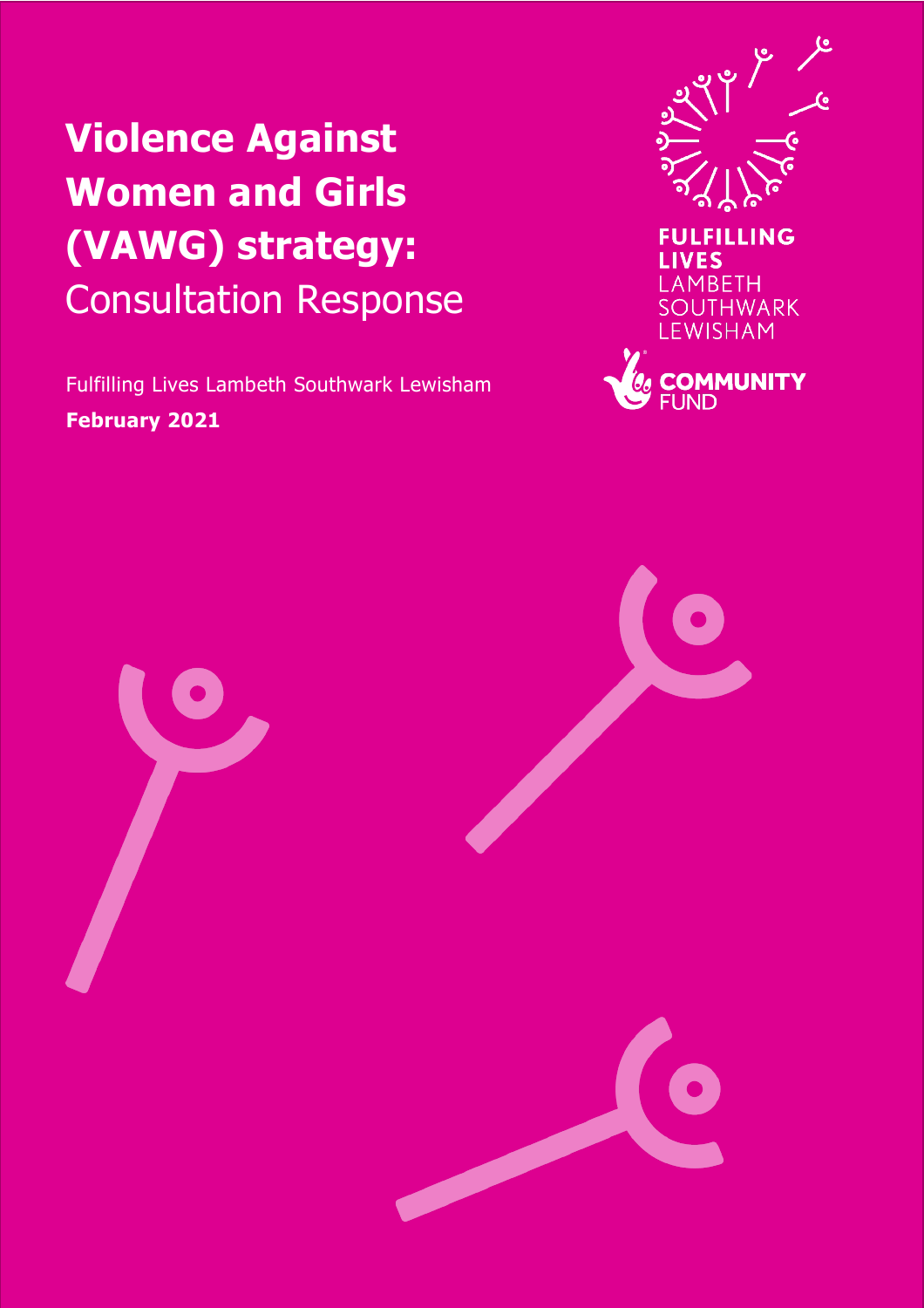# **Violence Against Women and Girls (VAWG) strategy:**  Consultation Response

Fulfilling Lives Lambeth Southwark Lewisham **February 2021**





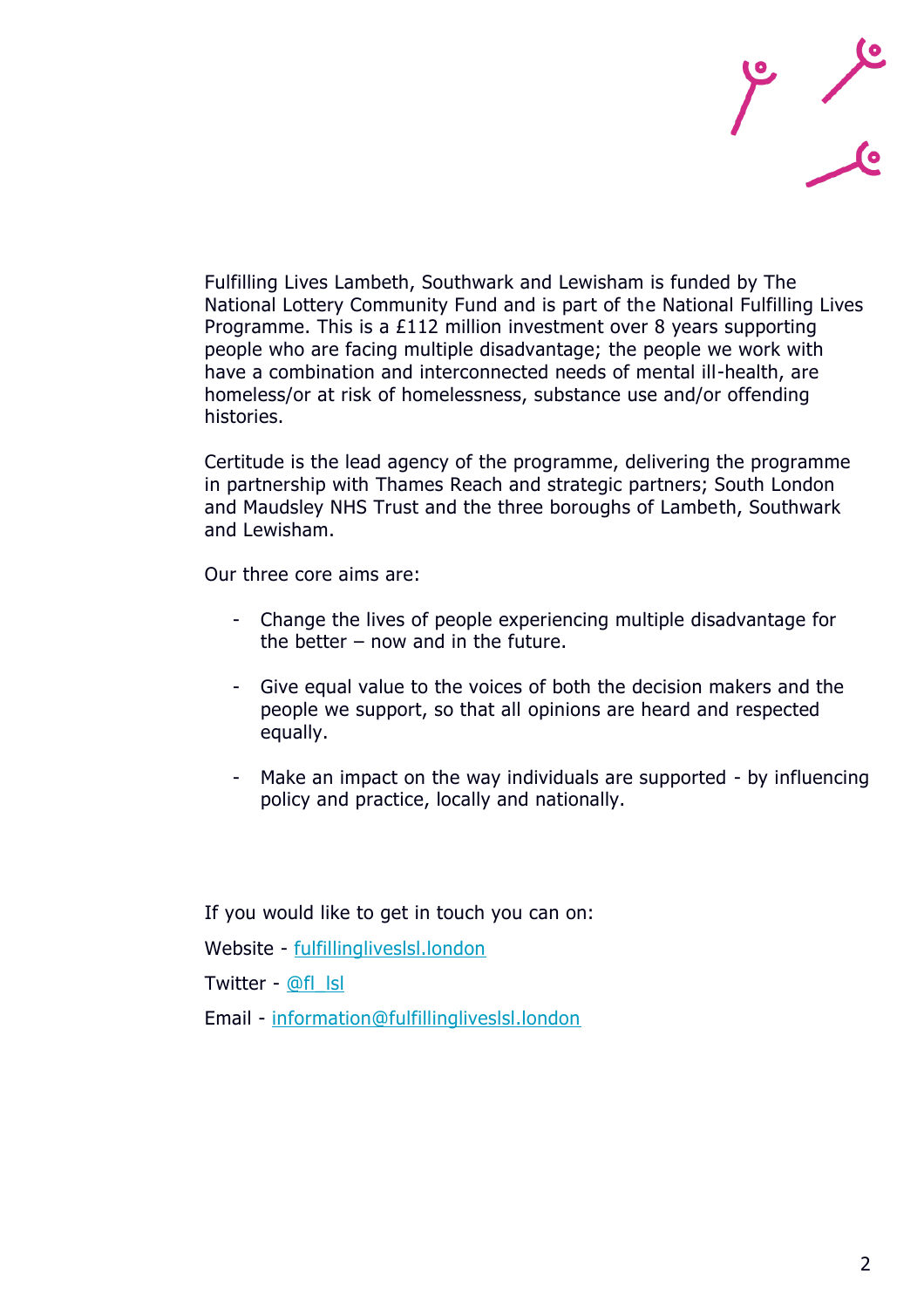

Fulfilling Lives Lambeth, Southwark and Lewisham is funded by The National Lottery Community Fund and is part of the National Fulfilling Lives Programme. This is a £112 million investment over 8 years supporting people who are facing multiple disadvantage; the people we work with have a combination and interconnected needs of mental ill-health, are homeless/or at risk of homelessness, substance use and/or offending histories.

Certitude is the lead agency of the programme, delivering the programme in partnership with Thames Reach and strategic partners; South London and Maudsley NHS Trust and the three boroughs of Lambeth, Southwark and Lewisham.

Our three core aims are:

- Change the lives of people experiencing multiple disadvantage for the better – now and in the future.
- Give equal value to the voices of both the decision makers and the people we support, so that all opinions are heard and respected equally.
- Make an impact on the way individuals are supported by influencing policy and practice, locally and nationally.

If you would like to get in touch you can on:

Website - [fulfillingliveslsl.london](https://fulfillingliveslsl.london/)

Twitter - [@fl\\_lsl](https://twitter.com/FL_LSL?ref_src=twsrc%5Egoogle%7Ctwcamp%5Eserp%7Ctwgr%5Eauthor)

Email - [information@fulfillingliveslsl.london](mailto:information@fulfillingliveslsl.london)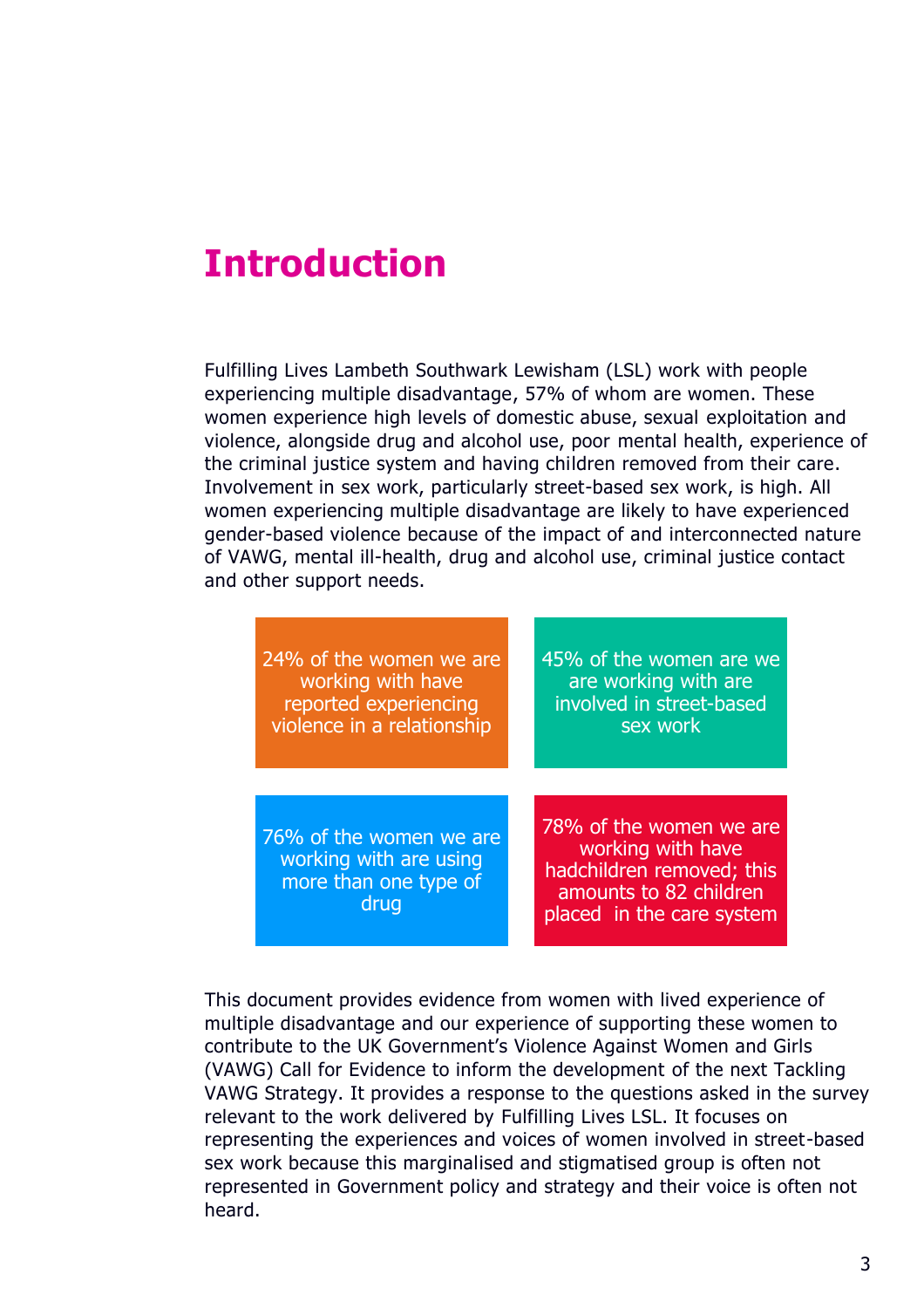# **Introduction**

Fulfilling Lives Lambeth Southwark Lewisham (LSL) work with people experiencing multiple disadvantage, 57% of whom are women. These women experience high levels of domestic abuse, sexual exploitation and violence, alongside drug and alcohol use, poor mental health, experience of the criminal justice system and having children removed from their care. Involvement in sex work, particularly street-based sex work, is high. All women experiencing multiple disadvantage are likely to have experienced gender-based violence because of the impact of and interconnected nature of VAWG, mental ill-health, drug and alcohol use, criminal justice contact and other support needs.

| 24% of the women we are                                                            | 45% of the women are we                                                                                                          |
|------------------------------------------------------------------------------------|----------------------------------------------------------------------------------------------------------------------------------|
| working with have                                                                  | are working with are                                                                                                             |
| reported experiencing                                                              | involved in street-based                                                                                                         |
| violence in a relationship                                                         | sex work                                                                                                                         |
| 76% of the women we are<br>working with are using<br>more than one type of<br>drug | 78% of the women we are<br>working with have<br>hadchildren removed; this<br>amounts to 82 children<br>placed in the care system |

This document provides evidence from women with lived experience of multiple disadvantage and our experience of supporting these women to contribute to the UK Government's Violence Against Women and Girls (VAWG) Call for Evidence to inform the development of the next Tackling VAWG Strategy. It provides a response to the questions asked in the survey relevant to the work delivered by Fulfilling Lives LSL. It focuses on representing the experiences and voices of women involved in street-based sex work because this marginalised and stigmatised group is often not represented in Government policy and strategy and their voice is often not heard.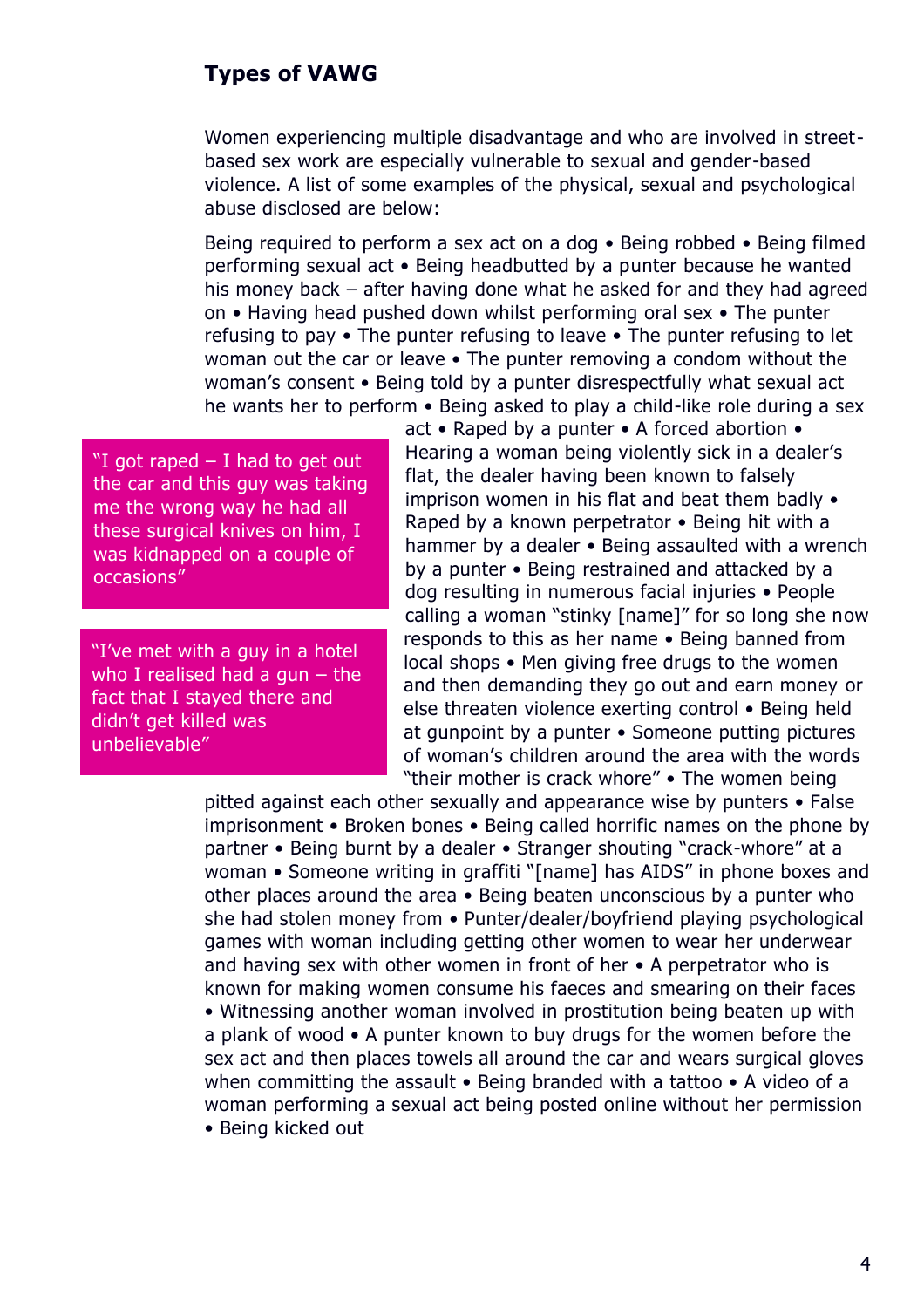## **Types of VAWG**

Women experiencing multiple disadvantage and who are involved in streetbased sex work are especially vulnerable to sexual and gender-based violence. A list of some examples of the physical, sexual and psychological abuse disclosed are below:

Being required to perform a sex act on a dog • Being robbed • Being filmed performing sexual act • Being headbutted by a punter because he wanted his money back – after having done what he asked for and they had agreed on • Having head pushed down whilst performing oral sex • The punter refusing to pay • The punter refusing to leave • The punter refusing to let woman out the car or leave • The punter removing a condom without the woman's consent • Being told by a punter disrespectfully what sexual act he wants her to perform • Being asked to play a child-like role during a sex

"I got raped  $-$  I had to get out the car and this guy was taking me the wrong way he had all these surgical knives on him, I was kidnapped on a couple of occasions"

"I've met with a guy in a hotel who I realised had a gun - the fact that I stayed there and didn't get killed was unbelievable"

act • Raped by a punter • A forced abortion • Hearing a woman being violently sick in a dealer's flat, the dealer having been known to falsely imprison women in his flat and beat them badly • Raped by a known perpetrator • Being hit with a hammer by a dealer • Being assaulted with a wrench by a punter • Being restrained and attacked by a dog resulting in numerous facial injuries • People calling a woman "stinky [name]" for so long she now responds to this as her name • Being banned from local shops • Men giving free drugs to the women and then demanding they go out and earn money or else threaten violence exerting control • Being held at gunpoint by a punter • Someone putting pictures of woman's children around the area with the words "their mother is crack whore" • The women being

pitted against each other sexually and appearance wise by punters • False imprisonment • Broken bones • Being called horrific names on the phone by partner • Being burnt by a dealer • Stranger shouting "crack-whore" at a woman • Someone writing in graffiti "[name] has AIDS" in phone boxes and other places around the area • Being beaten unconscious by a punter who she had stolen money from • Punter/dealer/boyfriend playing psychological games with woman including getting other women to wear her underwear and having sex with other women in front of her • A perpetrator who is known for making women consume his faeces and smearing on their faces • Witnessing another woman involved in prostitution being beaten up with a plank of wood • A punter known to buy drugs for the women before the sex act and then places towels all around the car and wears surgical gloves when committing the assault • Being branded with a tattoo • A video of a woman performing a sexual act being posted online without her permission • Being kicked out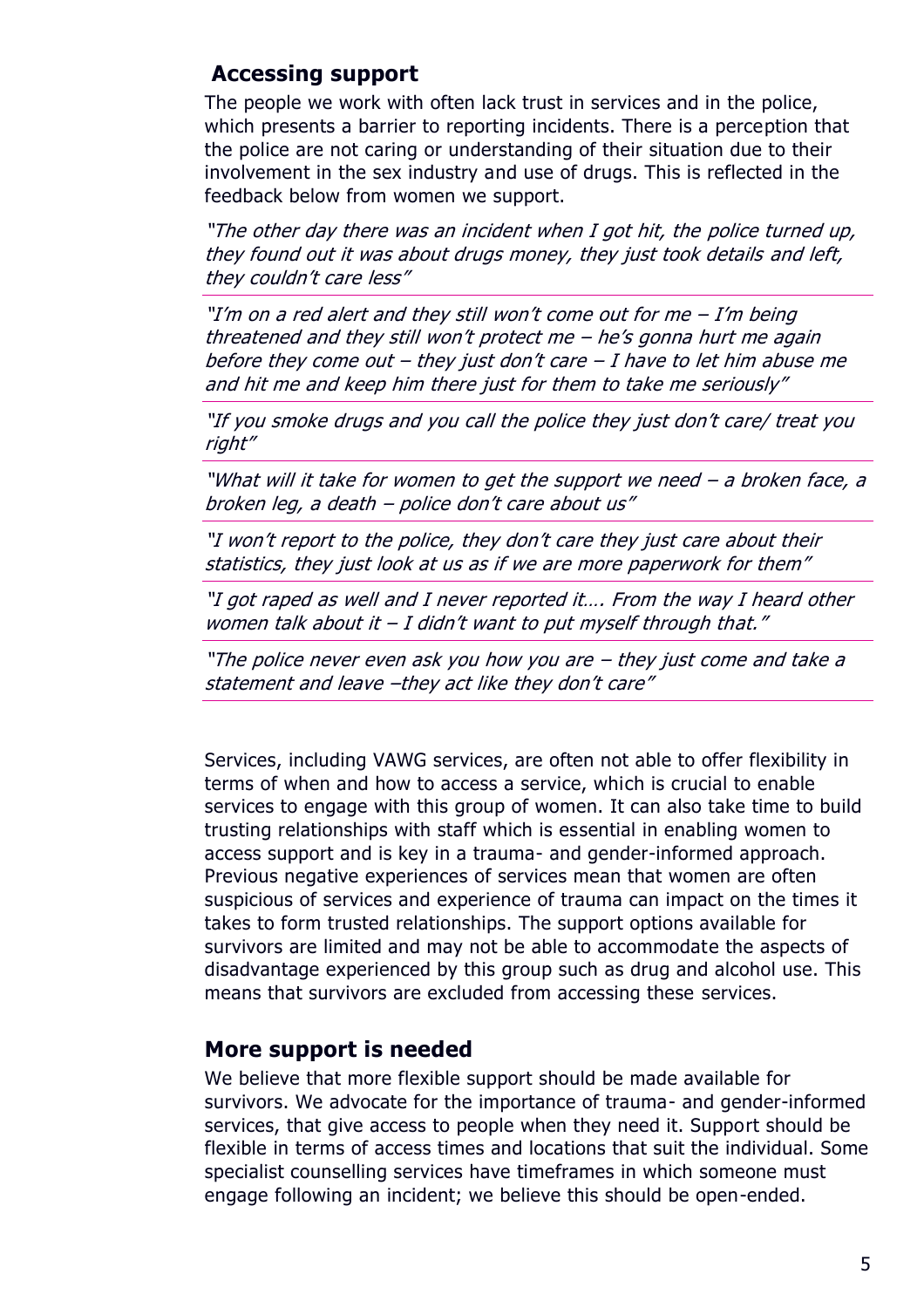#### **Accessing support**

The people we work with often lack trust in services and in the police, which presents a barrier to reporting incidents. There is a perception that the police are not caring or understanding of their situation due to their involvement in the sex industry and use of drugs. This is reflected in the feedback below from women we support.

"The other day there was an incident when I got hit, the police turned up, they found out it was about drugs money, they just took details and left, they couldn't care less"

"I'm on a red alert and they still won't come out for me  $-$  I'm being threatened and they still won't protect me – he's gonna hurt me again before they come out – they just don't care – I have to let him abuse me and hit me and keep him there just for them to take me seriously"

"If you smoke drugs and you call the police they just don't care/ treat you right"

"What will it take for women to get the support we need – a broken face, a broken leg, a death – police don't care about us"

"I won't report to the police, they don't care they just care about their statistics, they just look at us as if we are more paperwork for them"

"I got raped as well and I never reported it…. From the way I heard other women talk about it  $-I$  didn't want to put myself through that."

"The police never even ask you how you are – they just come and take a statement and leave –they act like they don't care"

Services, including VAWG services, are often not able to offer flexibility in terms of when and how to access a service, which is crucial to enable services to engage with this group of women. It can also take time to build trusting relationships with staff which is essential in enabling women to access support and is key in a trauma- and gender-informed approach. Previous negative experiences of services mean that women are often suspicious of services and experience of trauma can impact on the times it takes to form trusted relationships. The support options available for survivors are limited and may not be able to accommodate the aspects of disadvantage experienced by this group such as drug and alcohol use. This means that survivors are excluded from accessing these services.

#### **More support is needed**

We believe that more flexible support should be made available for survivors. We advocate for the importance of trauma- and gender-informed services, that give access to people when they need it. Support should be flexible in terms of access times and locations that suit the individual. Some specialist counselling services have timeframes in which someone must engage following an incident; we believe this should be open-ended.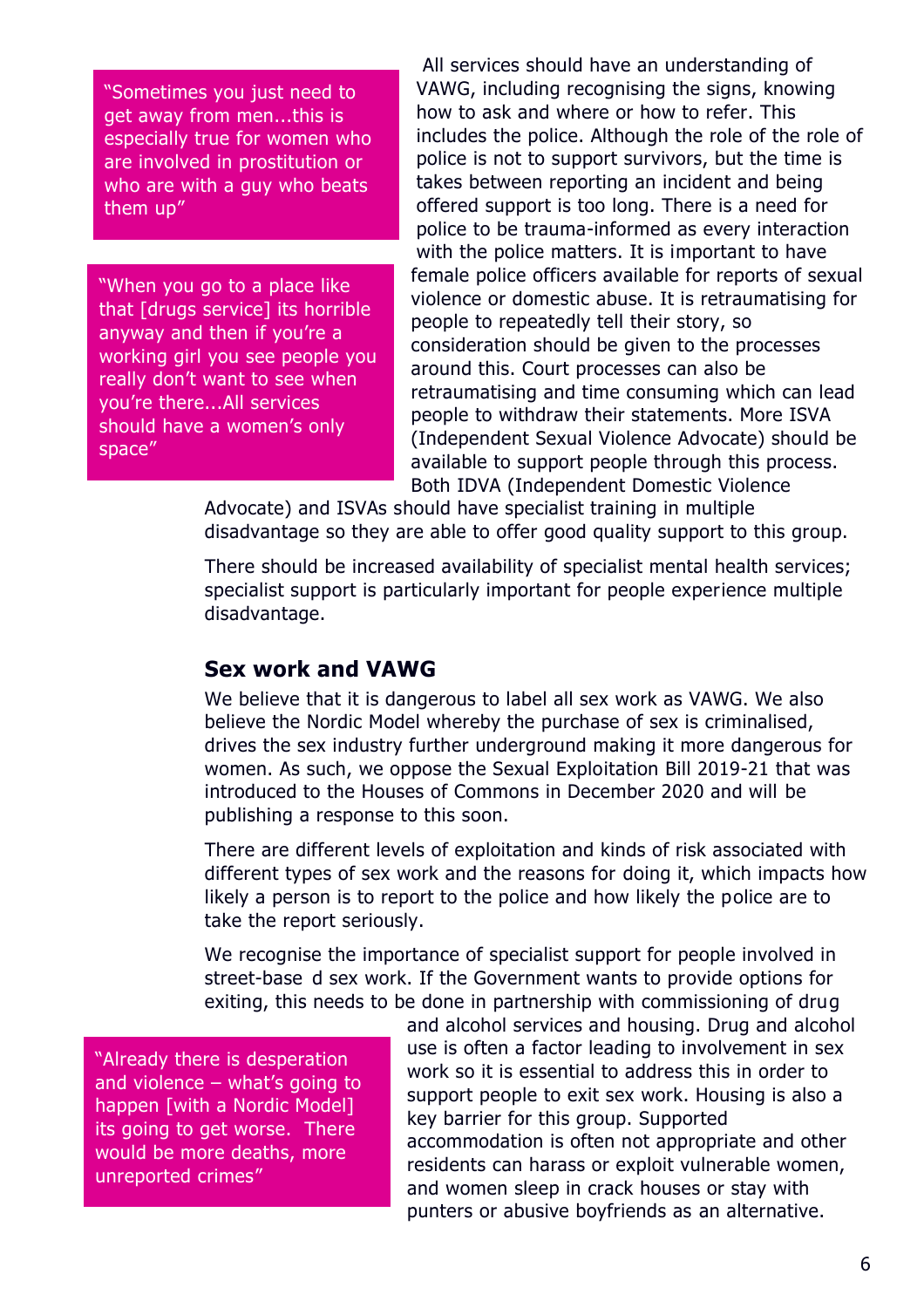"Sometimes you just need to get away from men...this is especially true for women who are involved in prostitution or who are with a guy who beats them up"

"When you go to a place like that [drugs service] its horrible anyway and then if you're a working girl you see people you really don't want to see when you're there...All services should have a women's only space"

All services should have an understanding of VAWG, including recognising the signs, knowing how to ask and where or how to refer. This includes the police. Although the role of the role of police is not to support survivors, but the time is takes between reporting an incident and being offered support is too long. There is a need for police to be trauma-informed as every interaction with the police matters. It is important to have female police officers available for reports of sexual violence or domestic abuse. It is retraumatising for people to repeatedly tell their story, so consideration should be given to the processes around this. Court processes can also be retraumatising and time consuming which can lead people to withdraw their statements. More ISVA (Independent Sexual Violence Advocate) should be available to support people through this process. Both IDVA (Independent Domestic Violence

Advocate) and ISVAs should have specialist training in multiple disadvantage so they are able to offer good quality support to this group.

There should be increased availability of specialist mental health services; specialist support is particularly important for people experience multiple disadvantage.

#### **Sex work and VAWG**

We believe that it is dangerous to label all sex work as VAWG. We also believe the Nordic Model whereby the purchase of sex is criminalised, drives the sex industry further underground making it more dangerous for women. As such, we oppose the Sexual Exploitation Bill 2019-21 that was introduced to the Houses of Commons in December 2020 and will be publishing a response to this soon.

There are different levels of exploitation and kinds of risk associated with different types of sex work and the reasons for doing it, which impacts how likely a person is to report to the police and how likely the police are to take the report seriously.

We recognise the importance of specialist support for people involved in street-base d sex work. If the Government wants to provide options for exiting, this needs to be done in partnership with commissioning of drug

"Already there is desperation and violence – what's going to happen [with a Nordic Model] its going to get worse. There would be more deaths, more unreported crimes"

and alcohol services and housing. Drug and alcohol use is often a factor leading to involvement in sex work so it is essential to address this in order to support people to exit sex work. Housing is also a key barrier for this group. Supported accommodation is often not appropriate and other residents can harass or exploit vulnerable women, and women sleep in crack houses or stay with punters or abusive boyfriends as an alternative.